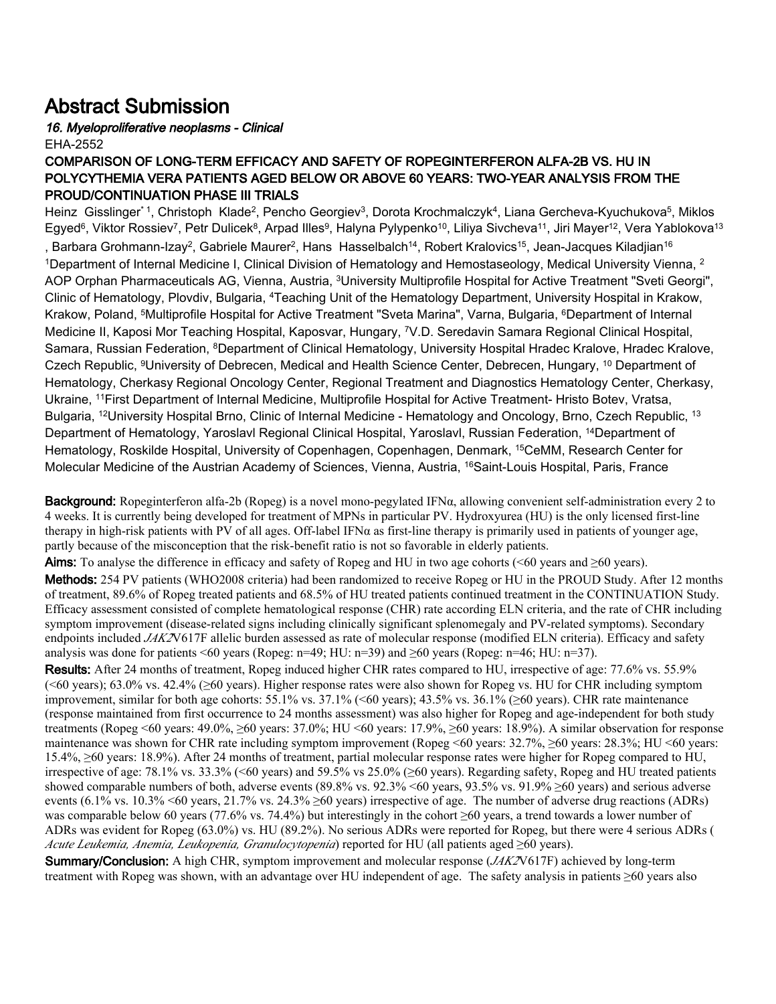## Abstract Submission

## 16. Myeloproliferative neoplasms - Clinical EHA-2552

## COMPARISON OF LONG-TERM EFFICACY AND SAFETY OF ROPEGINTERFERON ALFA-2B VS. HU IN POLYCYTHEMIA VERA PATIENTS AGED BELOW OR ABOVE 60 YEARS: TWO-YEAR ANALYSIS FROM THE PROUD/CONTINUATION PHASE III TRIALS

Heinz Gisslinger\*1, Christoph Klade<sup>2</sup>, Pencho Georgiev<sup>3</sup>, Dorota Krochmalczyk<sup>4</sup>, Liana Gercheva-Kyuchukova<sup>5</sup>, Miklos Egyed<sup>6</sup>, Viktor Rossiev<sup>7</sup>, Petr Dulicek<sup>8</sup>, Arpad Illes<sup>9</sup>, Halyna Pylypenko<sup>10</sup>, Liliya Sivcheva<sup>11</sup>, Jiri Mayer<sup>12</sup>, Vera Yablokova<sup>13</sup> , Barbara Grohmann-Izay<sup>2</sup>, Gabriele Maurer<sup>2</sup>, Hans Hasselbalch<sup>14</sup>, Robert Kralovics<sup>15</sup>, Jean-Jacques Kiladjian<sup>16</sup> <sup>1</sup>Department of Internal Medicine I, Clinical Division of Hematology and Hemostaseology, Medical University Vienna, <sup>2</sup> AOP Orphan Pharmaceuticals AG, Vienna, Austria, <sup>3</sup>University Multiprofile Hospital for Active Treatment "Sveti Georgi", Clinic of Hematology, Plovdiv, Bulgaria, <sup>4</sup>Teaching Unit of the Hematology Department, University Hospital in Krakow, Krakow, Poland, <sup>5</sup>Multiprofile Hospital for Active Treatment "Sveta Marina", Varna, Bulgaria, <sup>6</sup>Department of Internal Medicine II, Kaposi Mor Teaching Hospital, Kaposvar, Hungary, <sup>7</sup>V.D. Seredavin Samara Regional Clinical Hospital, Samara, Russian Federation, <sup>8</sup>Department of Clinical Hematology, University Hospital Hradec Kralove, Hradec Kralove, Czech Republic, <sup>9</sup>University of Debrecen, Medical and Health Science Center, Debrecen, Hungary, <sup>10</sup> Department of Hematology, Cherkasy Regional Oncology Center, Regional Treatment and Diagnostics Hematology Center, Cherkasy, Ukraine, <sup>11</sup>First Department of Internal Medicine, Multiprofile Hospital for Active Treatment- Hristo Botev, Vratsa, Bulgaria, <sup>12</sup>University Hospital Brno, Clinic of Internal Medicine - Hematology and Oncology, Brno, Czech Republic, <sup>13</sup> Department of Hematology, Yaroslavl Regional Clinical Hospital, Yaroslavl, Russian Federation, <sup>14</sup>Department of Hematology, Roskilde Hospital, University of Copenhagen, Copenhagen, Denmark, <sup>15</sup>CeMM, Research Center for Molecular Medicine of the Austrian Academy of Sciences, Vienna, Austria, <sup>16</sup>Saint-Louis Hospital, Paris, France

**Background:** Ropeginterferon alfa-2b (Ropeg) is a novel mono-pegylated IFN $\alpha$ , allowing convenient self-administration every 2 to 4 weeks. It is currently being developed for treatment of MPNs in particular PV. Hydroxyurea (HU) is the only licensed first-line therapy in high-risk patients with PV of all ages. Off-label IFN $\alpha$  as first-line therapy is primarily used in patients of younger age, partly because of the misconception that the risk-benefit ratio is not so favorable in elderly patients.

Aims: To analyse the difference in efficacy and safety of Ropeg and HU in two age cohorts (<60 years and  $\geq 60$  years). Methods: 254 PV patients (WHO2008 criteria) had been randomized to receive Ropeg or HU in the PROUD Study. After 12 months of treatment, 89.6% of Ropeg treated patients and 68.5% of HU treated patients continued treatment in the CONTINUATION Study. Efficacy assessment consisted of complete hematological response (CHR) rate according ELN criteria, and the rate of CHR including symptom improvement (disease-related signs including clinically significant splenomegaly and PV-related symptoms). Secondary endpoints included *JAK2*V617F allelic burden assessed as rate of molecular response (modified ELN criteria). Efficacy and safety analysis was done for patients <60 years (Ropeg:  $n=49$ ; HU:  $n=39$ ) and ≥60 years (Ropeg:  $n=46$ ; HU:  $n=37$ ).

Results: After 24 months of treatment, Ropeg induced higher CHR rates compared to HU, irrespective of age: 77.6% vs. 55.9%  $(\leq 60 \text{ years})$ ; 63.0% vs. 42.4% ( $\geq 60 \text{ years}$ ). Higher response rates were also shown for Ropeg vs. HU for CHR including symptom improvement, similar for both age cohorts: 55.1% vs. 37.1% (<60 years); 43.5% vs. 36.1% (≥60 years). CHR rate maintenance (response maintained from first occurrence to 24 months assessment) was also higher for Ropeg and age-independent for both study treatments (Ropeg <60 years: 49.0%, ≥60 years: 37.0%; HU <60 years: 17.9%, ≥60 years: 18.9%). A similar observation for response maintenance was shown for CHR rate including symptom improvement (Ropeg <60 years: 32.7%, ≥60 years: 28.3%; HU <60 years: 15.4%, ≥60 years: 18.9%). After 24 months of treatment, partial molecular response rates were higher for Ropeg compared to HU, irrespective of age: 78.1% vs. 33.3% (<60 years) and 59.5% vs 25.0% (≥60 years). Regarding safety, Ropeg and HU treated patients showed comparable numbers of both, adverse events (89.8% vs. 92.3% <60 years, 93.5% vs. 91.9% ≥60 years) and serious adverse events (6.1% vs. 10.3% <60 years, 21.7% vs. 24.3% ≥60 years) irrespective of age. The number of adverse drug reactions (ADRs) was comparable below 60 years (77.6% vs. 74.4%) but interestingly in the cohort  $\geq 60$  years, a trend towards a lower number of ADRs was evident for Ropeg (63.0%) vs. HU (89.2%). No serious ADRs were reported for Ropeg, but there were 4 serious ADRs ( *Acute Leukemia, Anemia, Leukopenia, Granulocytopenia*) reported for HU (all patients aged ≥60 years).

Summary/Conclusion: A high CHR, symptom improvement and molecular response (*JAK2*V617F) achieved by long-term treatment with Ropeg was shown, with an advantage over HU independent of age. The safety analysis in patients ≥60 years also